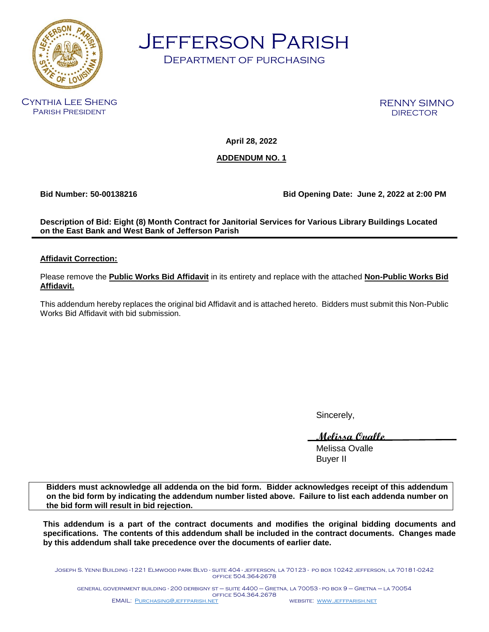

Jefferson Parish

Department of purchasing

Cynthia Lee Sheng Parish President

RENNY SIMNO **DIRECTOR** 

**April 28, 2022**

#### **ADDENDUM NO. 1**

**Bid Number: 50-00138216 Bid Opening Date: June 2, 2022 at 2:00 PM**

**Description of Bid: Eight (8) Month Contract for Janitorial Services for Various Library Buildings Located on the East Bank and West Bank of Jefferson Parish** 

#### **Affidavit Correction:**

Please remove the **Public Works Bid Affidavit** in its entirety and replace with the attached **Non-Public Works Bid Affidavit.** 

This addendum hereby replaces the original bid Affidavit and is attached hereto. Bidders must submit this Non-Public Works Bid Affidavit with bid submission.

Sincerely,

**Melissa Ovalle**

Melissa Ovalle Buyer II

**Bidders must acknowledge all addenda on the bid form. Bidder acknowledges receipt of this addendum on the bid form by indicating the addendum number listed above. Failure to list each addenda number on the bid form will result in bid rejection.**

**This addendum is a part of the contract documents and modifies the original bidding documents and specifications. The contents of this addendum shall be included in the contract documents. Changes made by this addendum shall take precedence over the documents of earlier date.**

Joseph S. Yenni Building -1221 Elmwood park Blvd - suite 404 - jefferson, la 70123 - po box 10242 jefferson, la 70181-0242 office 504.364-2678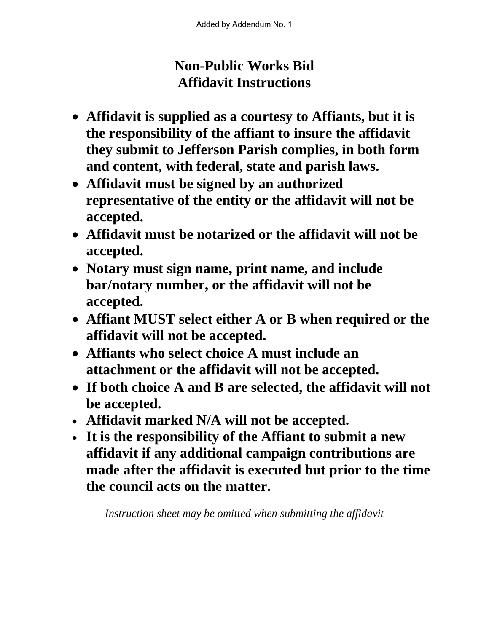# **Non-Public Works Bid Affidavit Instructions**

- **Affidavit is supplied as a courtesy to Affiants, but it is the responsibility of the affiant to insure the affidavit they submit to Jefferson Parish complies, in both form and content, with federal, state and parish laws.**
- **Affidavit must be signed by an authorized representative of the entity or the affidavit will not be accepted.**
- **Affidavit must be notarized or the affidavit will not be accepted.**
- **Notary must sign name, print name, and include bar/notary number, or the affidavit will not be accepted.**
- **Affiant MUST select either A or B when required or the affidavit will not be accepted.**
- **Affiants who select choice A must include an attachment or the affidavit will not be accepted.**
- **If both choice A and B are selected, the affidavit will not be accepted.**
- **Affidavit marked N/A will not be accepted.**
- **It is the responsibility of the Affiant to submit a new affidavit if any additional campaign contributions are made after the affidavit is executed but prior to the time the council acts on the matter.**

*Instruction sheet may be omitted when submitting the affidavit*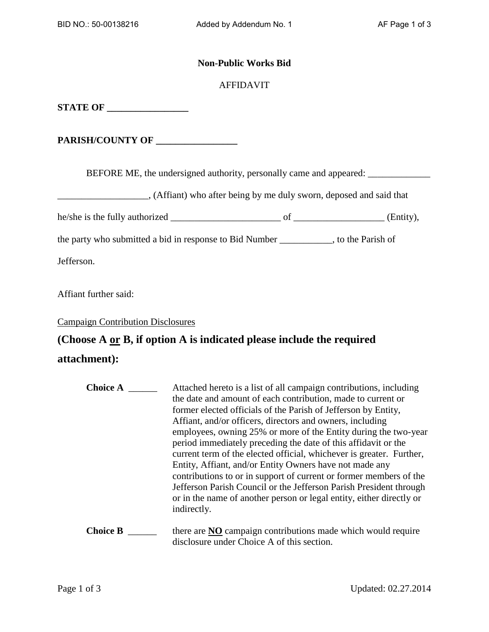#### **Non-Public Works Bid**

#### AFFIDAVIT

**STATE OF \_\_\_\_\_\_\_\_\_\_\_\_\_\_\_\_\_**

**PARISH/COUNTY OF \_\_\_\_\_\_\_\_\_\_\_\_\_\_\_\_\_**

BEFORE ME, the undersigned authority, personally came and appeared: \_\_\_\_\_\_\_\_\_\_\_\_

(Affiant) who after being by me duly sworn, deposed and said that

he/she is the fully authorized \_\_\_\_\_\_\_\_\_\_\_\_\_\_\_\_\_\_\_\_\_\_\_ of \_\_\_\_\_\_\_\_\_\_\_\_\_\_\_\_\_\_\_ (Entity),

the party who submitted a bid in response to Bid Number \_\_\_\_\_\_\_\_\_\_\_, to the Parish of

Jefferson.

Affiant further said:

Campaign Contribution Disclosures

## **(Choose A or B, if option A is indicated please include the required**

### **attachment):**

| <b>Choice A</b> | Attached hereto is a list of all campaign contributions, including<br>the date and amount of each contribution, made to current or<br>former elected officials of the Parish of Jefferson by Entity,<br>Affiant, and/or officers, directors and owners, including<br>employees, owning 25% or more of the Entity during the two-year<br>period immediately preceding the date of this affidavit or the<br>current term of the elected official, whichever is greater. Further,<br>Entity, Affiant, and/or Entity Owners have not made any<br>contributions to or in support of current or former members of the<br>Jefferson Parish Council or the Jefferson Parish President through<br>or in the name of another person or legal entity, either directly or<br>indirectly. |
|-----------------|------------------------------------------------------------------------------------------------------------------------------------------------------------------------------------------------------------------------------------------------------------------------------------------------------------------------------------------------------------------------------------------------------------------------------------------------------------------------------------------------------------------------------------------------------------------------------------------------------------------------------------------------------------------------------------------------------------------------------------------------------------------------------|
| <b>Choice B</b> | there are NO campaign contributions made which would require<br>disclosure under Choice A of this section.                                                                                                                                                                                                                                                                                                                                                                                                                                                                                                                                                                                                                                                                   |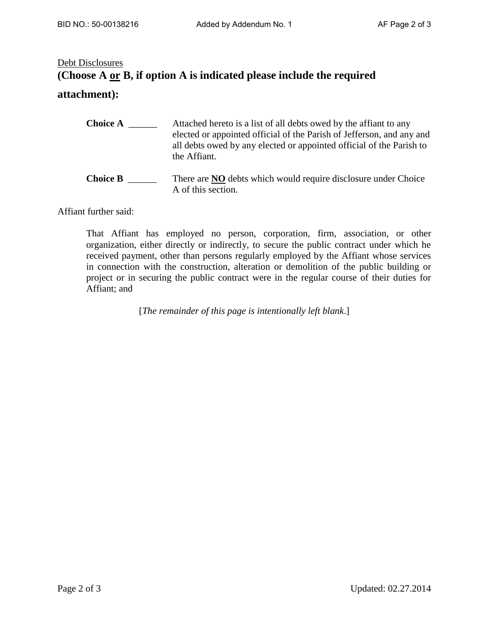### Debt Disclosures **(Choose A or B, if option A is indicated please include the required attachment):**

| <b>Choice A</b> | Attached hereto is a list of all debts owed by the affiant to any     |
|-----------------|-----------------------------------------------------------------------|
|                 | elected or appointed official of the Parish of Jefferson, and any and |
|                 | all debts owed by any elected or appointed official of the Parish to  |
|                 | the Affiant.                                                          |
|                 |                                                                       |

**Choice B** \_\_\_\_\_\_\_\_ There are **NO** debts which would require disclosure under Choice A of this section.

Affiant further said:

That Affiant has employed no person, corporation, firm, association, or other organization, either directly or indirectly, to secure the public contract under which he received payment, other than persons regularly employed by the Affiant whose services in connection with the construction, alteration or demolition of the public building or project or in securing the public contract were in the regular course of their duties for Affiant; and

[*The remainder of this page is intentionally left blank*.]